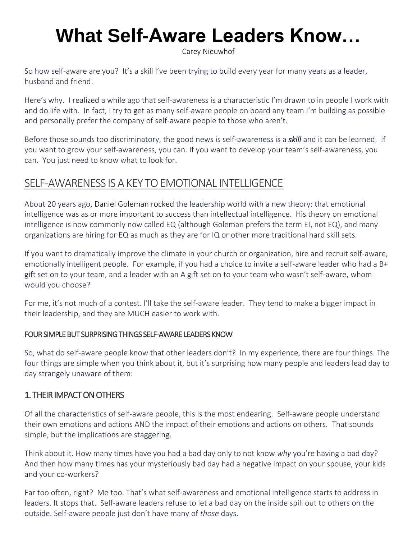# **What Self-Aware Leaders Know…**

[Carey Nieuwhof](https://careynieuwhof.com/author/carey/)

So how self-aware are you? It's a skill I've been trying to build every year for many years as a leader, husband and friend.

Here's why. I realized a while ago that self-awareness is a characteristic I'm drawn to in people I work with and do life with. In fact, I try to get as many self-aware people on board any team I'm building as possible and personally prefer the company of self-aware people to those who aren't.

Before those sounds too discriminatory, the good news is self-awareness is a *skill* and it can be learned. If you want to grow your self-awareness, you can. If you want to develop your team's self-awareness, you can. You just need to know what to look for.

# SELF-AWARENESS IS A KEY TO EMOTIONAL INTELLIGENCE

About 20 years ago, [Daniel Goleman](http://www.danielgoleman.info/) rocked the leadership world with a new theory: that emotional intelligence was as or more important to success than intellectual intelligence. His theory on emotional intelligence is now commonly now called EQ (although Goleman prefers the term EI, not EQ), and many organizations are hiring for EQ as much as they are for IQ or other more traditional hard skill sets.

If you want to dramatically improve the climate in your church or organization, hire and recruit self-aware, emotionally intelligent people. For example, if you had a choice to invite a self-aware leader who had a B+ gift set on to your team, and a leader with an A gift set on to your team who wasn't self-aware, whom would you choose?

For me, it's not much of a contest. I'll take the self-aware leader. They tend to make a bigger impact in their leadership, and they are MUCH easier to work with.

#### FOUR SIMPLE BUT SURPRISING THINGS SELF-AWARE LEADERS KNOW

So, what do self-aware people know that other leaders don't? In my experience, there are four things. The four things are simple when you think about it, but it's surprising how many people and leaders lead day to day strangely unaware of them:

### 1. THEIR IMPACT ON OTHERS

Of all the characteristics of self-aware people, this is the most endearing. Self-aware people understand their own emotions and actions AND the impact of their emotions and actions on others. That sounds simple, but the implications are staggering.

Think about it. How many times have you had a bad day only to not know *why* you're having a bad day? And then how many times has your mysteriously bad day had a negative impact on your spouse, your kids and your co-workers?

Far too often, right? Me too. That's what self-awareness and emotional intelligence starts to address in leaders. It stops that. Self-aware leaders refuse to let a bad day on the inside spill out to others on the outside. Self-aware people just don't have many of *those* days.